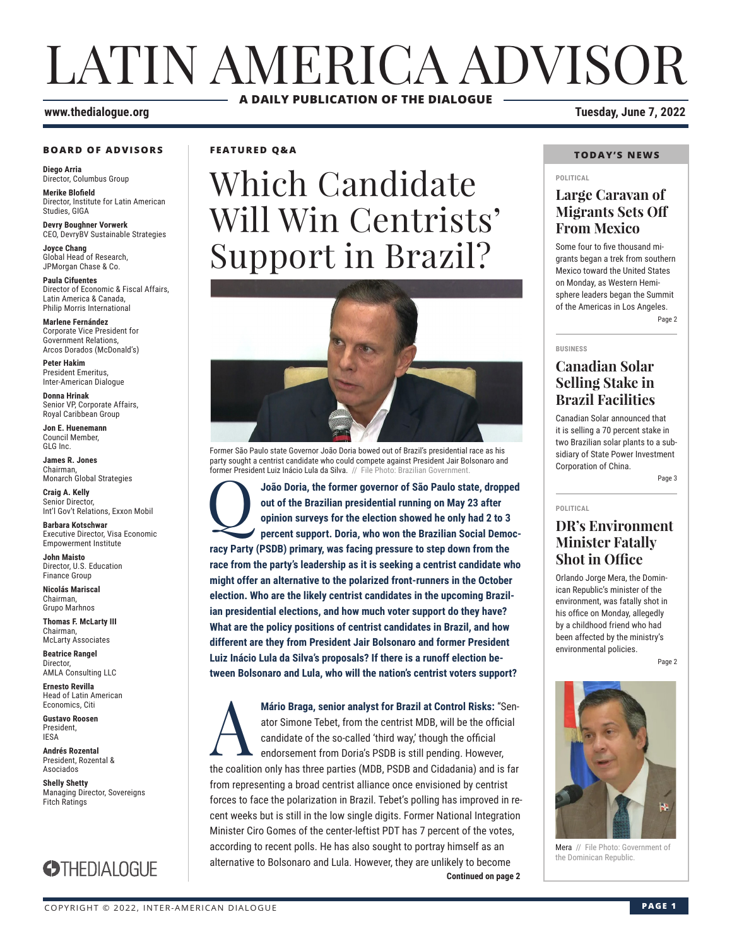# LATIN AMERICA ADVISOR **A DAILY PUBLICATION OF THE DIALOGUE**

#### **BOARD OF ADVISORS**

**Diego Arria** Director, Columbus Group

**Merike Blofield** Director, Institute for Latin American Studies, GIGA

**Devry Boughner Vorwerk** CEO, DevryBV Sustainable Strategies

**Joyce Chang** Global Head of Research, JPMorgan Chase & Co.

**Paula Cifuentes** Director of Economic & Fiscal Affairs, Latin America & Canada, Philip Morris International

**Marlene Fernández** Corporate Vice President for Government Relations, Arcos Dorados (McDonald's)

**Peter Hakim** President Emeritus, Inter-American Dialogue

**Donna Hrinak** Senior VP, Corporate Affairs, Royal Caribbean Group

**Jon E. Huenemann** Council Member, GLG Inc.

**James R. Jones** Chairman, Monarch Global Strategies

**Craig A. Kelly** Senior Director, Int'l Gov't Relations, Exxon Mobil

**Barbara Kotschwar** Executive Director, Visa Economic Empowerment Institute

**John Maisto** Director, U.S. Education Finance Group

**Nicolás Mariscal** Chairman, Grupo Marhnos

**Thomas F. McLarty III** Chairman, McLarty Associates

**Beatrice Rangel Director** AMLA Consulting LLC

**Ernesto Revilla**  Head of Latin American Economics, Citi

**Gustavo Roosen** President, IESA

**Andrés Rozental**  President, Rozental & Asociados

**Shelly Shetty** Managing Director, Sovereigns Fitch Ratings



**FEATURED Q&A**

# Which Candidate Will Win Centrists' Support in Brazil?



Former São Paulo state Governor João Doria bowed out of Brazil's presidential race as his party sought a centrist candidate who could compete against President Jair Bolsonaro and former President Luiz Inácio Lula da Silva. // File Photo: Brazilian Government

João Doria, the former governor of São Paulo state, dropped out of the Brazilian presidential running on May 23 after opinion surveys for the election showed he only had 2 to 3 percent support. Doria, who won the Brazilian **out of the Brazilian presidential running on May 23 after opinion surveys for the election showed he only had 2 to 3 percent support. Doria, who won the Brazilian Social Democracy Party (PSDB) primary, was facing pressure to step down from the race from the party's leadership as it is seeking a centrist candidate who might offer an alternative to the polarized front-runners in the October election. Who are the likely centrist candidates in the upcoming Brazilian presidential elections, and how much voter support do they have? What are the policy positions of centrist candidates in Brazil, and how different are they from President Jair Bolsonaro and former President Luiz Inácio Lula da Silva's proposals? If there is a runoff election between Bolsonaro and Lula, who will the nation's centrist voters support?** 

**Continued on page 2** Mário Braga, senior analyst for Brazil at Control Risks: "Senator Simone Tebet, from the centrist MDB, will be the official<br>candidate of the so-called 'third way,' though the official<br>endorsement from Doria's PSDB is still ator Simone Tebet, from the centrist MDB, will be the official candidate of the so-called 'third way,' though the official endorsement from Doria's PSDB is still pending. However, the coalition only has three parties (MDB, PSDB and Cidadania) and is far from representing a broad centrist alliance once envisioned by centrist forces to face the polarization in Brazil. Tebet's polling has improved in recent weeks but is still in the low single digits. Former National Integration Minister Ciro Gomes of the center-leftist PDT has 7 percent of the votes, according to recent polls. He has also sought to portray himself as an alternative to Bolsonaro and Lula. However, they are unlikely to become

#### **www.thedialogue.org Tuesday, June 7, 2022**

#### **TODAY'S NEWS**

#### **POLITICAL**

### **Large Caravan of Migrants Sets Off From Mexico**

Some four to five thousand migrants began a trek from southern Mexico toward the United States on Monday, as Western Hemisphere leaders began the Summit of the Americas in Los Angeles. Page 2

**BUSINESS**

**POLITICAL**

### **Canadian Solar Selling Stake in Brazil Facilities**

Canadian Solar announced that it is selling a 70 percent stake in two Brazilian solar plants to a subsidiary of State Power Investment Corporation of China.

Page 3

### **DR's Environment Minister Fatally Shot in Office**

Orlando Jorge Mera, the Dominican Republic's minister of the environment, was fatally shot in his office on Monday, allegedly by a childhood friend who had been affected by the ministry's environmental policies.

Page 2



Mera // File Photo: Government of the Dominican Republic.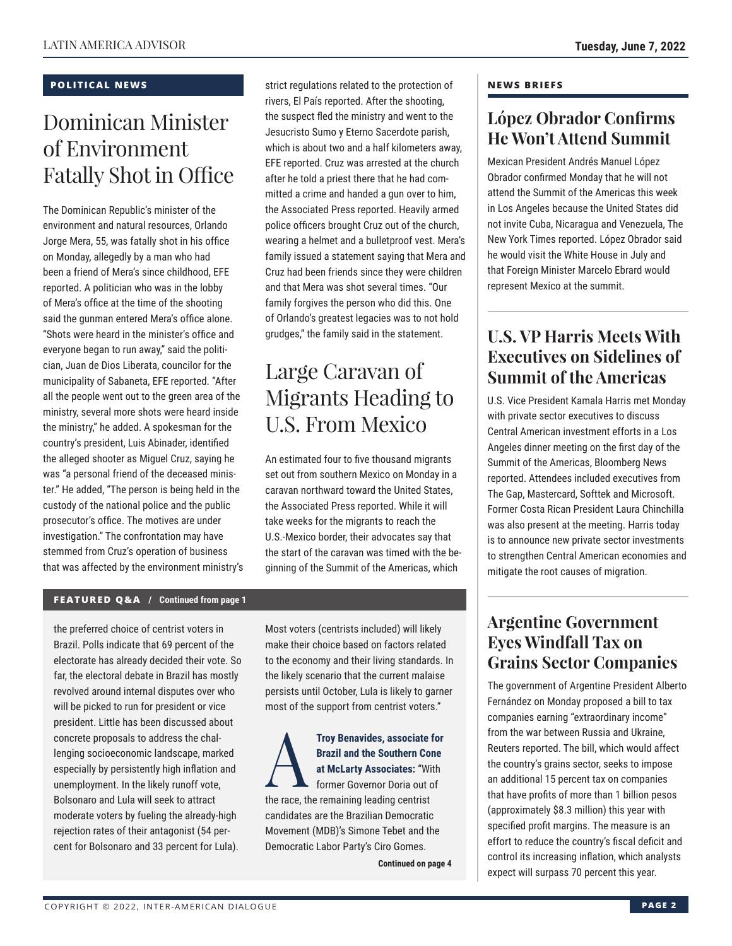#### **POLITICAL NEWS**

# Dominican Minister of Environment Fatally Shot in Office

The Dominican Republic's minister of the environment and natural resources, Orlando Jorge Mera, 55, was fatally shot in his office on Monday, allegedly by a man who had been a friend of Mera's since childhood, EFE reported. A politician who was in the lobby of Mera's office at the time of the shooting said the gunman entered Mera's office alone. "Shots were heard in the minister's office and everyone began to run away," said the politician, Juan de Dios Liberata, councilor for the municipality of Sabaneta, EFE reported. "After all the people went out to the green area of the ministry, several more shots were heard inside the ministry," he added. A spokesman for the country's president, Luis Abinader, identified the alleged shooter as Miguel Cruz, saying he was "a personal friend of the deceased minister." He added, "The person is being held in the custody of the national police and the public prosecutor's office. The motives are under investigation." The confrontation may have stemmed from Cruz's operation of business that was affected by the environment ministry's strict regulations related to the protection of rivers, El País reported. After the shooting, the suspect fled the ministry and went to the Jesucristo Sumo y Eterno Sacerdote parish, which is about two and a half kilometers away, EFE reported. Cruz was arrested at the church after he told a priest there that he had committed a crime and handed a gun over to him, the Associated Press reported. Heavily armed police officers brought Cruz out of the church, wearing a helmet and a bulletproof vest. Mera's family issued a statement saying that Mera and Cruz had been friends since they were children and that Mera was shot several times. "Our family forgives the person who did this. One of Orlando's greatest legacies was to not hold grudges," the family said in the statement.

# Large Caravan of Migrants Heading to U.S. From Mexico

An estimated four to five thousand migrants set out from southern Mexico on Monday in a caravan northward toward the United States, the Associated Press reported. While it will take weeks for the migrants to reach the U.S.-Mexico border, their advocates say that the start of the caravan was timed with the beginning of the Summit of the Americas, which

#### **FEATURED Q&A / Continued from page 1**

the preferred choice of centrist voters in Brazil. Polls indicate that 69 percent of the electorate has already decided their vote. So far, the electoral debate in Brazil has mostly revolved around internal disputes over who will be picked to run for president or vice president. Little has been discussed about concrete proposals to address the challenging socioeconomic landscape, marked especially by persistently high inflation and unemployment. In the likely runoff vote, Bolsonaro and Lula will seek to attract moderate voters by fueling the already-high rejection rates of their antagonist (54 percent for Bolsonaro and 33 percent for Lula).

Most voters (centrists included) will likely make their choice based on factors related to the economy and their living standards. In the likely scenario that the current malaise persists until October, Lula is likely to garner most of the support from centrist voters."

**Troy Benavides, associate for<br>Brazil and the Southern Cone<br>at McLarty Associates: "With<br>former Governor Doria out of<br>the rese, the remaining leading eartiet Brazil and the Southern Cone at McLarty Associates:** "With former Governor Doria out of the race, the remaining leading centrist candidates are the Brazilian Democratic Movement (MDB)'s Simone Tebet and the Democratic Labor Party's Ciro Gomes.

**Continued on page 4** 

#### **NEWS BRIEFS**

### **López Obrador Confirms He Won't Attend Summit**

Mexican President Andrés Manuel López Obrador confirmed Monday that he will not attend the Summit of the Americas this week in Los Angeles because the United States did not invite Cuba, Nicaragua and Venezuela, The New York Times reported. López Obrador said he would visit the White House in July and that Foreign Minister Marcelo Ebrard would represent Mexico at the summit.

### **U.S. VP Harris Meets With Executives on Sidelines of Summit of the Americas**

U.S. Vice President Kamala Harris met Monday with private sector executives to discuss Central American investment efforts in a Los Angeles dinner meeting on the first day of the Summit of the Americas, Bloomberg News reported. Attendees included executives from The Gap, Mastercard, Softtek and Microsoft. Former Costa Rican President Laura Chinchilla was also present at the meeting. Harris today is to announce new private sector investments to strengthen Central American economies and mitigate the root causes of migration.

### **Argentine Government Eyes Windfall Tax on Grains Sector Companies**

The government of Argentine President Alberto Fernández on Monday proposed a bill to tax companies earning "extraordinary income" from the war between Russia and Ukraine, Reuters reported. The bill, which would affect the country's grains sector, seeks to impose an additional 15 percent tax on companies that have profits of more than 1 billion pesos (approximately \$8.3 million) this year with specified profit margins. The measure is an effort to reduce the country's fiscal deficit and control its increasing inflation, which analysts expect will surpass 70 percent this year.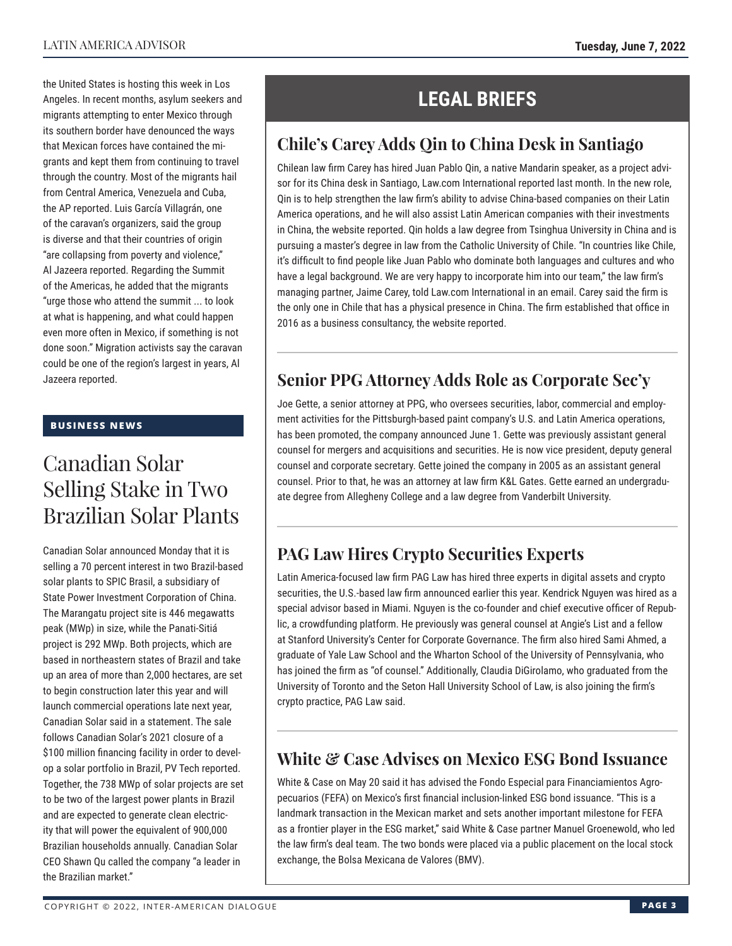the United States is hosting this week in Los Angeles. In recent months, asylum seekers and migrants attempting to enter Mexico through its southern border have denounced the ways that Mexican forces have contained the migrants and kept them from continuing to travel through the country. Most of the migrants hail from Central America, Venezuela and Cuba, the AP reported. Luis García Villagrán, one of the caravan's organizers, said the group is diverse and that their countries of origin "are collapsing from poverty and violence," Al Jazeera reported. Regarding the Summit of the Americas, he added that the migrants "urge those who attend the summit ... to look at what is happening, and what could happen even more often in Mexico, if something is not done soon." Migration activists say the caravan could be one of the region's largest in years, Al

#### **BUSINESS NEWS**

Jazeera reported.

## Canadian Solar Selling Stake in Two Brazilian Solar Plants

Canadian Solar announced Monday that it is selling a 70 percent interest in two Brazil-based solar plants to SPIC Brasil, a subsidiary of State Power Investment Corporation of China. The Marangatu project site is 446 megawatts peak (MWp) in size, while the Panati-Sitiá project is 292 MWp. Both projects, which are based in northeastern states of Brazil and take up an area of more than 2,000 hectares, are set to begin construction later this year and will launch commercial operations late next year, Canadian Solar said in a statement. The sale follows Canadian Solar's 2021 closure of a \$100 million financing facility in order to develop a solar portfolio in Brazil, PV Tech reported. Together, the 738 MWp of solar projects are set to be two of the largest power plants in Brazil and are expected to generate clean electricity that will power the equivalent of 900,000 Brazilian households annually. Canadian Solar CEO Shawn Qu called the company "a leader in the Brazilian market."

## **LEGAL BRIEFS**

### **Chile's Carey Adds Qin to China Desk in Santiago**

Chilean law firm Carey has hired Juan Pablo Qin, a native Mandarin speaker, as a project advisor for its China desk in Santiago, Law.com International reported last month. In the new role, Qin is to help strengthen the law firm's ability to advise China-based companies on their Latin America operations, and he will also assist Latin American companies with their investments in China, the website reported. Qin holds a law degree from Tsinghua University in China and is pursuing a master's degree in law from the Catholic University of Chile. "In countries like Chile, it's difficult to find people like Juan Pablo who dominate both languages and cultures and who have a legal background. We are very happy to incorporate him into our team," the law firm's managing partner, Jaime Carey, told Law.com International in an email. Carey said the firm is the only one in Chile that has a physical presence in China. The firm established that office in 2016 as a business consultancy, the website reported.

### **Senior PPG Attorney Adds Role as Corporate Sec'y**

Joe Gette, a senior attorney at PPG, who oversees securities, labor, commercial and employment activities for the Pittsburgh-based paint company's U.S. and Latin America operations, has been promoted, the company announced June 1. Gette was previously assistant general counsel for mergers and acquisitions and securities. He is now vice president, deputy general counsel and corporate secretary. Gette joined the company in 2005 as an assistant general counsel. Prior to that, he was an attorney at law firm K&L Gates. Gette earned an undergraduate degree from Allegheny College and a law degree from Vanderbilt University.

### **PAG Law Hires Crypto Securities Experts**

Latin America-focused law firm PAG Law has hired three experts in digital assets and crypto securities, the U.S.-based law firm announced earlier this year. Kendrick Nguyen was hired as a special advisor based in Miami. Nguyen is the co-founder and chief executive officer of Republic, a crowdfunding platform. He previously was general counsel at Angie's List and a fellow at Stanford University's Center for Corporate Governance. The firm also hired Sami Ahmed, a graduate of Yale Law School and the Wharton School of the University of Pennsylvania, who has joined the firm as "of counsel." Additionally, Claudia DiGirolamo, who graduated from the University of Toronto and the Seton Hall University School of Law, is also joining the firm's crypto practice, PAG Law said.

### **White & Case Advises on Mexico ESG Bond Issuance**

White & Case on May 20 said it has advised the Fondo Especial para Financiamientos Agropecuarios (FEFA) on Mexico's first financial inclusion-linked ESG bond issuance. "This is a landmark transaction in the Mexican market and sets another important milestone for FEFA as a frontier player in the ESG market," said White & Case partner Manuel Groenewold, who led the law firm's deal team. The two bonds were placed via a public placement on the local stock exchange, the Bolsa Mexicana de Valores (BMV).